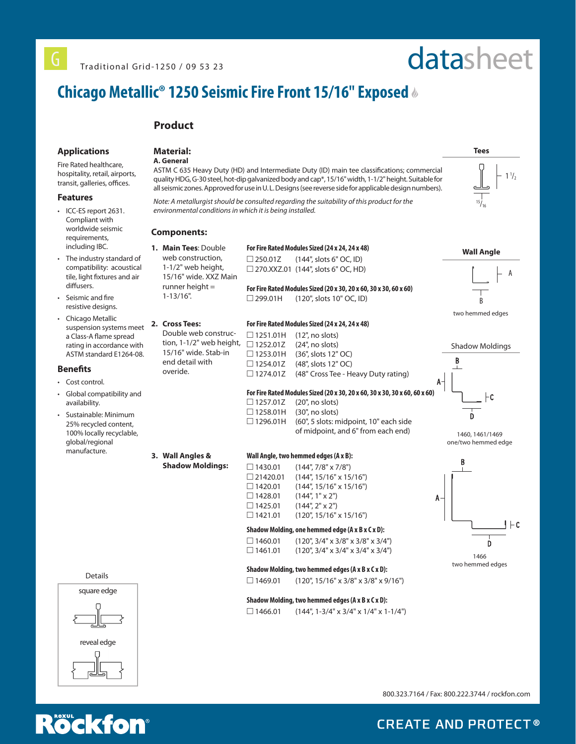# datasheet

**Tees** 

 $\frac{15}{16}$ 

**Wall Angle**

B

two hemmed edges

Shadow Moldings

B<sub>1</sub>

A

1460, 1461/1469 one/two hemmed edge

B

⊦c

 $1\frac{1}{2}$ 

A

# **Chicago Metallic® 1250 Seismic Fire Front 15/16" Exposed**

# **Product**

# **Applications**

Fire Rated healthcare, hospitality, retail, airports, transit, galleries, offices.

### **Features**

- ICC-ES report 2631. Compliant with worldwide seismic requirements, including IBC.
- The industry standard of compatibility: acoustical tile, light fixtures and air diffusers.
- Seismic and fire resistive designs.
- Chicago Metallic suspension systems meet a Class-A flame spread rating in accordance with ASTM standard E1264-08.

## **Benefits**

- Cost control
- Global compatibility and availability.
- Sustainable: Minimum 25% recycled content, 100% locally recyclable, global/regional manufacture.

# **Material:**

# **A. General**

ASTM C 635 Heavy Duty (HD) and Intermediate Duty (ID) main tee classifications; commercial quality HDG, G-30 steel, hot-dip galvanized body and cap\*, 15/16" width, 1-1/2" height. Suitable for all seismic zones. Approved for use in U. L. Designs (see reverse side for applicable design numbers).

*Note: A metallurgist should be consulted regarding the suitability of this product for the environmental conditions in which it is being installed.*

## **Components:**

**For Fire Rated Modules Sized (24 x 24, 24 x 48) 1. Main Tees**: Double web construction, 1-1/2" web height, 15/16" wide. XXZ Main runner height  $=$ 1-13/16".

 $\Box$  250.01Z (144", slots 6" OC, ID) □ 270.XXZ.01 (144", slots 6" OC, HD) **For Fire Rated Modules Sized (20 x 30, 20 x 60, 30 x 30, 60 x 60)**

# $\Box$  299.01H (120", slots 10" OC, ID)

#### **2. Cross Tees: For Fire Rated Modules Sized (24 x 24, 24 x 48)**

Double web construction, 1-1/2" web height, 15/16" wide. Stab-in end detail with overide.

 $\Box$  1251.01H (12", no slots)  $\Box$  1252.01Z (24", no slots) □ 1253.01H (36", slots 12" OC)  $\Box$  1254.01Z (48", slots 12" OC)

**Wall Angle, two hemmed edges (A x B):**  $\Box$  1430.01 (144", 7/8" x 7/8")  $\Box$  21420.01 (144", 15/16" x 15/16")<br> $\Box$  1420.01 (144", 15/16" x 15/16")  $\Box$  1420.01 (144", 15/16" x 15/16")<br> $\Box$  1428.01 (144", 1" x 2")  $(144", 1" \times 2")$ 

 $\Box$  1425.01 (144", 2" x 2")  $\Box$  1421.01 (120", 15/16" x 15/16") **Shadow Molding, one hemmed edge (A x B x C x D):**  $\Box$  1460.01 (120", 3/4" x 3/8" x 3/8" x 3/4")  $\Box$  1461.01 (120", 3/4" x 3/4" x 3/4" x 3/4")

**Shadow Molding, two hemmed edges (A x B x C x D):**  $\Box$  1469.01 (120", 15/16" x 3/8" x 3/8" x 9/16")

**Shadow Molding, two hemmed edges (A x B x C x D):**  $\Box$  1466.01 (144", 1-3/4" x 3/4" x 1/4" x 1-1/4")

of midpoint, and 6" from each end)

**3. Wall Angles &** 

**Shadow Moldings:**

Details



**Rockfon** 

800.323.7164 / Fax: 800.222.3744 / rockfon.com

1466 two hemmed edges

 $1 + c$ 

# **CREATE AND PROTECT®**